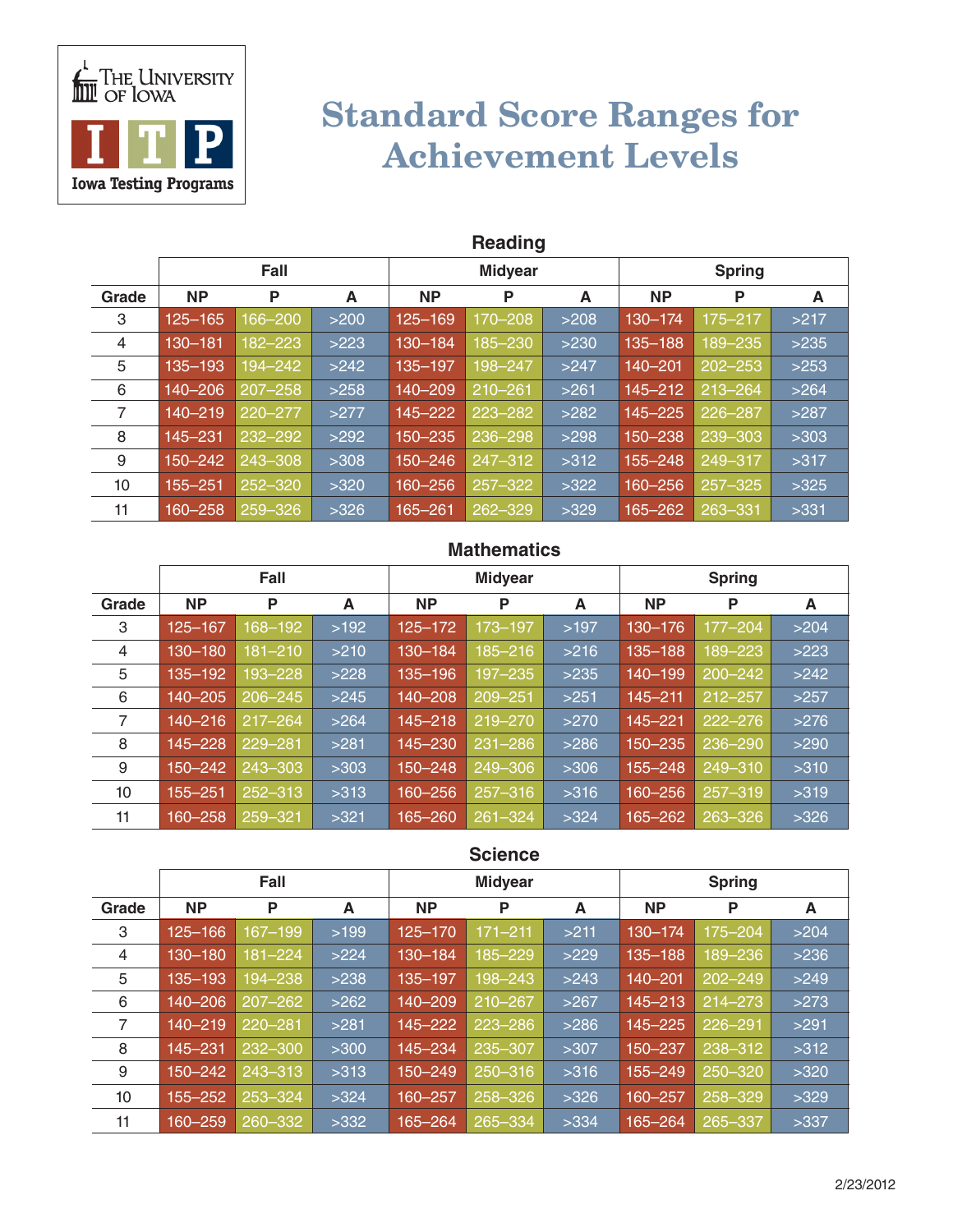

# Standard Score Ranges for Achievement Levels

|                 | <b>Reading</b> |             |      |             |                |      |               |             |      |  |  |
|-----------------|----------------|-------------|------|-------------|----------------|------|---------------|-------------|------|--|--|
|                 |                | Fall        |      |             | <b>Midyear</b> |      | <b>Spring</b> |             |      |  |  |
| Grade           | <b>NP</b>      | P           | A    | <b>NP</b>   | P              | A    | <b>NP</b>     | P           | A    |  |  |
| 3               | $125 - 165$    | 166-200     | >200 | $125 - 169$ | 170-208        | >208 | 130-174       | 175-217     | >217 |  |  |
| 4               | 130-181        | 182-223     | >223 | 130-184     | 185-230        | >230 | 135-188       | 189–235     | >235 |  |  |
| 5               | 135-193        | 194-242     | >242 | 135-197     | 198-247        | >247 | 140-201       | $202 - 253$ | >253 |  |  |
| 6               | 140-206        | $207 - 258$ | >258 | $140 - 209$ | $210 - 261$    | >261 | $145 - 212$   | $213 - 264$ | >264 |  |  |
| 7               | $140 - 219$    | $220 - 277$ | >277 | 145-222     | 223-282        | >282 | $145 - 225$   | 226-287     | >287 |  |  |
| 8               | 145-231        | 232-292     | >292 | 150-235     | 236-298        | >298 | 150-238       | 239-303     | >303 |  |  |
| 9               | 150-242        | 243-308     | >308 | 150-246     | 247-312        | >312 | 155-248       | 249-317     | >317 |  |  |
| 10 <sup>1</sup> | 155-251        | $252 - 320$ | >320 | 160-256     | $257 - 322$    | >322 | 160-256       | $257 - 325$ | >325 |  |  |
| 11              | 160-258        | 259-326     | >326 | $165 - 261$ | 262-329        | >329 | 165-262       | 263-331     | >331 |  |  |

#### **Mathematics**

|       | Fall        |             |      |             | <b>Midyear</b> |      | <b>Spring</b> |             |      |
|-------|-------------|-------------|------|-------------|----------------|------|---------------|-------------|------|
| Grade | <b>NP</b>   | P           | A    | <b>NP</b>   | P              | A    | <b>NP</b>     | P           | A    |
| 3     | 125-167     | 168-192     | >192 | $125 - 172$ | 173-197        | >197 | 130-176       | $177 - 204$ | >204 |
| 4     | 130-180     | $181 - 210$ | >210 | 130-184     | 185-216        | >216 | $135 - 188$   | 189–223     | >223 |
| 5     | 135-192     | 193-228     | >228 | 135-196     | 197-235        | >235 | 140-199       | $200 - 242$ | >242 |
| 6     | 140-205     | $206 - 245$ | >245 | 140-208     | 209-251        | >251 | $145 - 211$   | 212-257     | >257 |
| 7     | $140 - 216$ | $217 - 264$ | >264 | 145-218     | 219-270        | >270 | $145 - 221$   | $222 - 276$ | >276 |
| 8     | $145 - 228$ | 229-281     | >281 | 145-230     | $231 - 286$    | >286 | 150-235       | 236-290     | >290 |
| 9     | 150-242     | 243-303     | >303 | $150 - 248$ | 249-306        | >306 | 155-248       | 249-310     | >310 |
| 10    | 155-251     | $252 - 313$ | >313 | 160-256     | $257 - 316$    | >316 | 160-256       | $257 - 319$ | >319 |
| 11    | 160-258     | 259-321     | >321 | 165–260     | $261 - 324$    | >324 | 165-262       | 263-326     | >326 |

#### **Science**

|       | Fall        |             |      |             | <b>Midyear</b> |      | <b>Spring</b> |             |      |
|-------|-------------|-------------|------|-------------|----------------|------|---------------|-------------|------|
| Grade | <b>NP</b>   | P           | A    | <b>NP</b>   | P              | A    | <b>NP</b>     | P           | A    |
| 3     | $125 - 166$ | 167-199     | >199 | 125-170     | $171 - 211$    | >211 | 130-174       | 175-204     | >204 |
| 4     | 130-180     | 181-224     | >224 | 130-184     | 185-229        | >229 | $135 - 188$   | 189-236     | >236 |
| 5     | 135-193     | 194-238     | >238 | 135-197     | 198-243        | >243 | $140 - 201$   | $202 - 249$ | >249 |
| 6     | 140-206     | $207 - 262$ | >262 | 140-209     | $210 - 267$    | >267 | $145 - 213$   | $214 - 273$ | >273 |
| 7     | $140 - 219$ | $220 - 281$ | >281 | $145 - 222$ | 223-286        | >286 | 145-225       | 226-291     | >291 |
| 8     | 145-231     | $232 - 300$ | >300 | 145-234     | 235-307        | >307 | 150-237       | 238-312     | >312 |
| 9     | 150-242     | 243-313     | >313 | 150-249     | 250-316        | >316 | $155 - 249$   | $250 - 320$ | >320 |
| 10    | 155-252     | 253-324     | >324 | 160-257     | 258-326        | >326 | 160-257       | 258-329     | >329 |
| 11    | 160-259     | 260-332     | >332 | 165-264     | 265-334        | >334 | 165-264       | 265-337     | >337 |